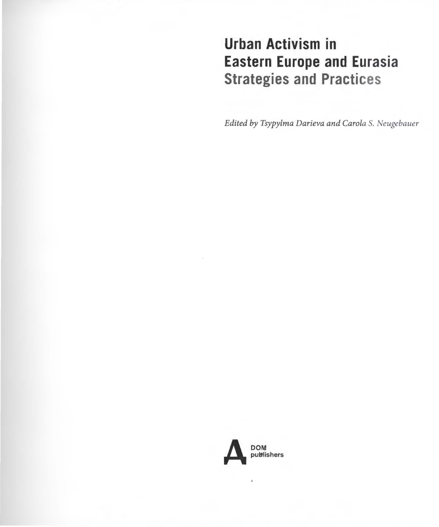## **Urban Activism in Eastern Europe and Eurasia Strategies and Practices**

*Edited by Tsypylma Darieva and Carola S. Neugebauer* 

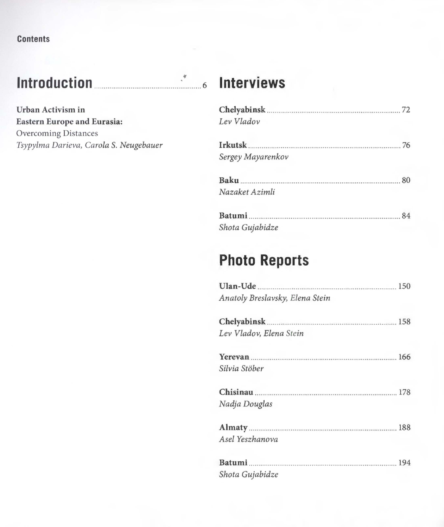**Contents** 

# **lntroduction** ............................................. ~.~ ........ <sup>6</sup>**Interviews**

**Urban Activism in Eastern Europe and Eurasia:** Overcoming Distances Tsypylma Darieva, Carola S. Neugebauer

| Lev Vladov        |  |
|-------------------|--|
| <b>Irkutsk</b> 76 |  |
| Sergey Mayarenkov |  |
|                   |  |
| Nazaket Azimli    |  |
| Batumi 84         |  |
| Shota Gujabidze   |  |

### **Photo Reports**

| Anatoly Breslavsky, Elena Stein |  |
|---------------------------------|--|
| Lev Vladov, Elena Stein         |  |
| Silvia Stöber                   |  |
| Chisinau 278<br>Nadja Douglas   |  |
| Asel Yeszhanova                 |  |
| Batumi 194<br>Shota Gujabidze   |  |